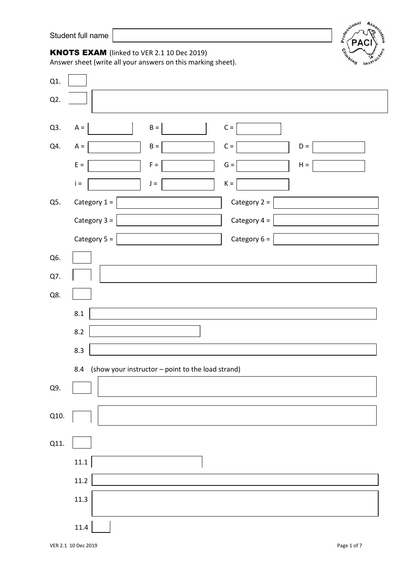

## KNOTS EXAM (linked to VER 2.1 10 Dec 2019)

Answer sheet (write all your answers on this marking sheet).

| Q1.  |                                                              |
|------|--------------------------------------------------------------|
| Q2.  |                                                              |
|      |                                                              |
| Q3.  | $B =$<br>$\mathsf{C} =$<br>$A =$                             |
| Q4.  | $\mathsf{C} =$<br>$A =$<br>$B =$<br>$\mathsf{D} =$           |
|      | $\mathsf{E} =$<br>$\mathsf{F} =$<br>$G =$<br>$H =$           |
|      | $\mathsf{i}$ =<br>$K =$<br>$\mathsf{J} =$                    |
| Q5.  | Category $1 =$<br>Category 2 =                               |
|      | Category $3 =$<br>Category $4 =$                             |
|      | Category 5 =<br>Category $6 =$                               |
| Q6.  |                                                              |
| Q7.  |                                                              |
| Q8.  |                                                              |
|      | 8.1                                                          |
|      | 8.2                                                          |
|      | 8.3                                                          |
|      | (show your instructor - point to the load strand)<br>$8.4\,$ |
| Q9.  |                                                              |
|      |                                                              |
| Q10. |                                                              |
| Q11. |                                                              |
|      | 11.1                                                         |
|      | 11.2                                                         |
|      | 11.3                                                         |
|      |                                                              |
|      | 11.4                                                         |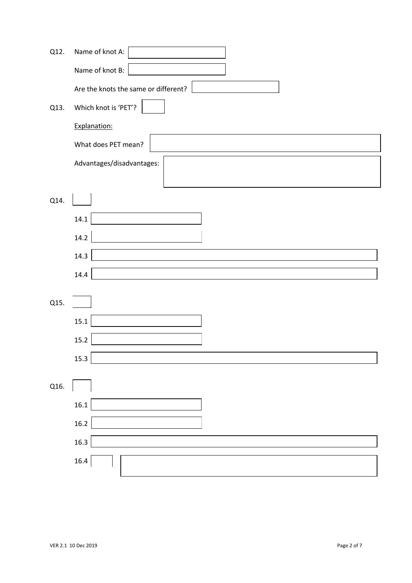| Q12. | Name of knot A:                      |
|------|--------------------------------------|
|      | Name of knot B:                      |
|      | Are the knots the same or different? |
| Q13. | Which knot is 'PET'?                 |
|      | Explanation:                         |
|      | What does PET mean?                  |
|      | Advantages/disadvantages:            |
| Q14. |                                      |
|      | 14.1                                 |
|      | 14.2                                 |
|      | 14.3                                 |
|      | 14.4                                 |
| Q15. |                                      |
|      |                                      |
|      | $15.1\,$                             |
|      | $15.2\,$                             |
|      | 15.3                                 |
| Q16. |                                      |
|      | 16.1                                 |
|      | 16.2                                 |
|      | 16.3                                 |
|      | 16.4                                 |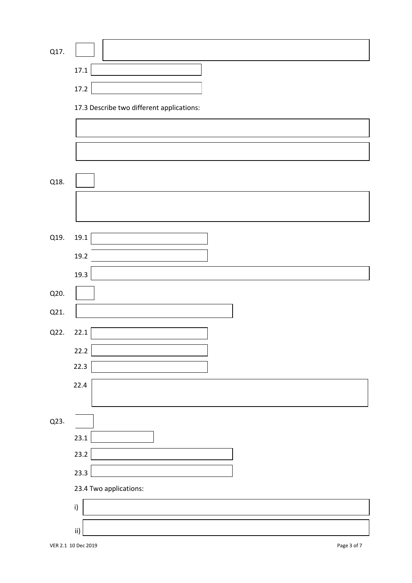| Q17. |                                           |
|------|-------------------------------------------|
|      | 17.1                                      |
|      | 17.2                                      |
|      | 17.3 Describe two different applications: |
|      |                                           |
|      |                                           |
|      |                                           |
| Q18. |                                           |
|      |                                           |
|      |                                           |
| Q19. | 19.1                                      |
|      | 19.2                                      |
|      | 19.3                                      |
| Q20. |                                           |
| Q21. |                                           |
| Q22. | 22.1                                      |
|      | 22.2                                      |
|      | 22.3                                      |
|      | 22.4                                      |
|      |                                           |
| Q23. |                                           |
|      | 23.1                                      |
|      | 23.2                                      |
|      | 23.3                                      |
|      | 23.4 Two applications:                    |
|      | i)                                        |
|      | $\,$ ii)                                  |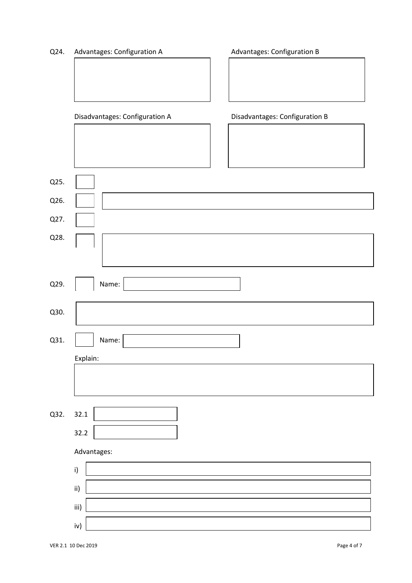| Advantages: Configuration A<br>Q24. |  |
|-------------------------------------|--|
|-------------------------------------|--|

Advantages: Configuration B

|      | Disadvantages: Configuration A | Disadvantages: Configuration B |
|------|--------------------------------|--------------------------------|
|      |                                |                                |
|      |                                |                                |
|      |                                |                                |
| Q25. |                                |                                |
| Q26. |                                |                                |
| Q27. |                                |                                |
| Q28. |                                |                                |
|      |                                |                                |
| Q29. | Name:                          |                                |
|      |                                |                                |
| Q30. |                                |                                |
| Q31. | Name:                          |                                |
|      | Explain:                       |                                |
|      |                                |                                |
|      |                                |                                |
| Q32. | 32.1                           |                                |
|      | 32.2                           |                                |
|      | Advantages:                    |                                |
|      | i)                             |                                |
|      |                                |                                |
|      | ii)                            |                                |
|      | iii)                           |                                |
|      | iv)                            |                                |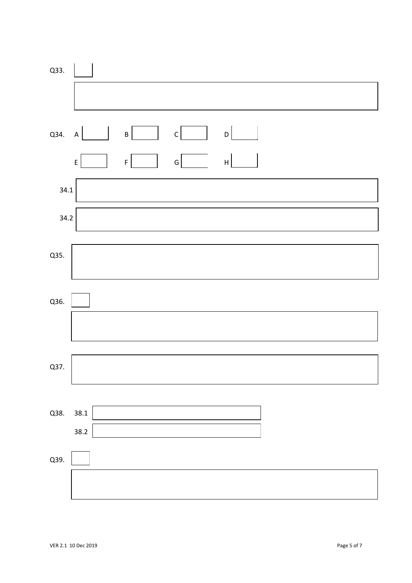| Q33. |                           |                    |              |                           |  |  |
|------|---------------------------|--------------------|--------------|---------------------------|--|--|
|      |                           |                    |              |                           |  |  |
| Q34. | $\boldsymbol{\mathsf{A}}$ | $\sf B$            | $\mathsf C$  | D                         |  |  |
|      | $\mathsf E$               | $\bar{\mathsf{F}}$ | $\mathsf{G}$ | $\boldsymbol{\mathsf{H}}$ |  |  |
| 34.1 |                           |                    |              |                           |  |  |
| 34.2 |                           |                    |              |                           |  |  |
| Q35. |                           |                    |              |                           |  |  |
| Q36. |                           |                    |              |                           |  |  |
|      |                           |                    |              |                           |  |  |
| Q37. |                           |                    |              |                           |  |  |
| Q38. | 38.1                      |                    |              |                           |  |  |
|      | 38.2                      |                    |              |                           |  |  |
| Q39. |                           |                    |              |                           |  |  |
|      |                           |                    |              |                           |  |  |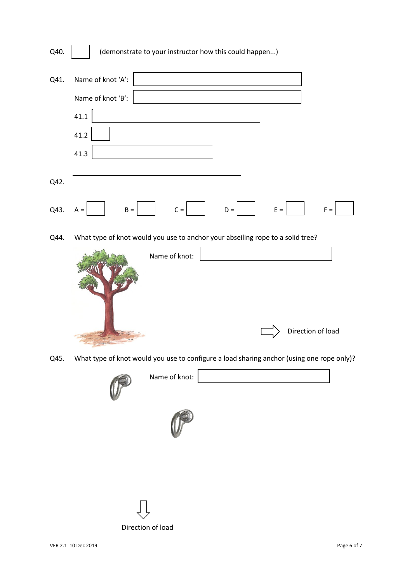| Q40. | (demonstrate to your instructor how this could happen)                         |       |
|------|--------------------------------------------------------------------------------|-------|
| Q41. | Name of knot 'A':                                                              |       |
|      | Name of knot 'B':                                                              |       |
|      | 41.1                                                                           |       |
|      | 41.2                                                                           |       |
|      | 41.3                                                                           |       |
| Q42. |                                                                                |       |
| Q43. | $C =$<br>$B =$<br>$E =$<br>$D =$<br>$A =$                                      | $F =$ |
| Q44. | What type of knot would you use to anchor your abseiling rope to a solid tree? |       |



Q45. What type of knot would you use to configure a load sharing anchor (using one rope only)?



Name of knot: